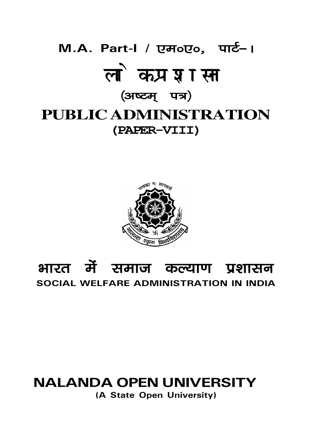## M.A. Part-I / एम॰ए०, पार्ट-। लोक प्रशासन (अष्टम् पत्र) **PUBLIC ADMINISTRATION** (PAPER-VIII)



## भारत में समाज कल्याण प्रशासन SOCIAL WELFARE ADMINISTRATION IN INDIA

## **NALANDA OPEN UNIVERSITY**

(A State Open University)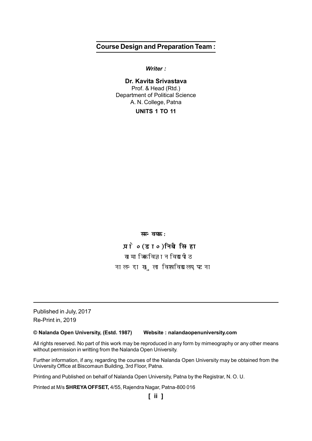## **Course Design and Preparation Team :**

*Writer :*

**Dr. Kavita Srivastava** Prof. & Head (Rtd.) Department of Political Science A. N. College, Patna

**UNITS 1 TO 11**

*H*H<sub>radd</sub>a<sub>:</sub>

प्रो० (डा०) निधी सिन्हा सामाजिक विज्ञान विद्यापीठ नालन्दा खुला विश्वविद्यालय, पटना

Published in July, 2017 Re-Print in, 2019

**© Nalanda Open University, (Estd. 1987) Website : nalandaopenuniversity.com**

All rights reserved. No part of this work may be reproduced in any form by mimeography or any other means without permission in writting from the Nalanda Open University.

Further information, if any, regarding the courses of the Nalanda Open University may be obtained from the University Office at Biscomaun Building, 3rd Floor, Patna.

Printing and Published on behalf of Nalanda Open University, Patna by the Registrar, N. O. U.

Printed at M/s **SHREYA OFFSET,** 4/55, Rajendra Nagar, Patna-800 016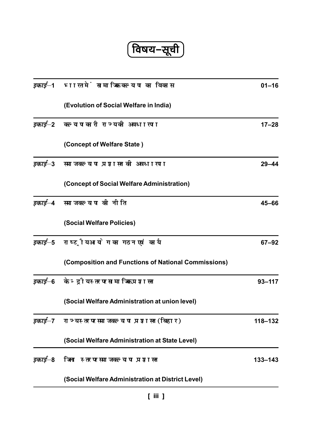<u>(विषय–सूची)</u>

|          | <i>इकाई</i> –1   भारत में सामाजिक कल्याण का विकास             | $01 - 16$   |
|----------|---------------------------------------------------------------|-------------|
|          | (Evolution of Social Welfare in India)                        |             |
| इकाई—2   | कल्याणकारी राज्य की अवधारणा                                   | $17 - 28$   |
|          | (Concept of Welfare State)                                    |             |
|          | <i>इकाई</i> —3    समाज कल्याण प्रशासन की अवधारणा              | $29 - 44$   |
|          | (Concept of Social Welfare Administration)                    |             |
| इकाई–4   | समाज कल्याण की नीति                                           | $45 - 66$   |
|          | (Social Welfare Policies)                                     |             |
|          | <i>इकाई</i> —5 राष्ट्रीय आयोग का गठन एवं कार्य                | $67 - 92$   |
|          | (Composition and Functions of National Commissions)           |             |
|          | <i>इकाई</i> –6 केन्द्रीय स्तर पर सामाजिक प्रशासन              | $93 - 117$  |
|          | (Social Welfare Administration at union level)                |             |
|          | <i>इकाई</i> —7    राज्य स्तर पर समाज कल्याण प्रशासन ( बिहार ) | $118 - 132$ |
|          | (Social Welfare Administration at State Level)                |             |
| डकार्ड—8 | जिला स्तर पर समाज कल्याण प्रशासन                              | $133 - 143$ |
|          | (Social Welfare Administration at District Level)             |             |